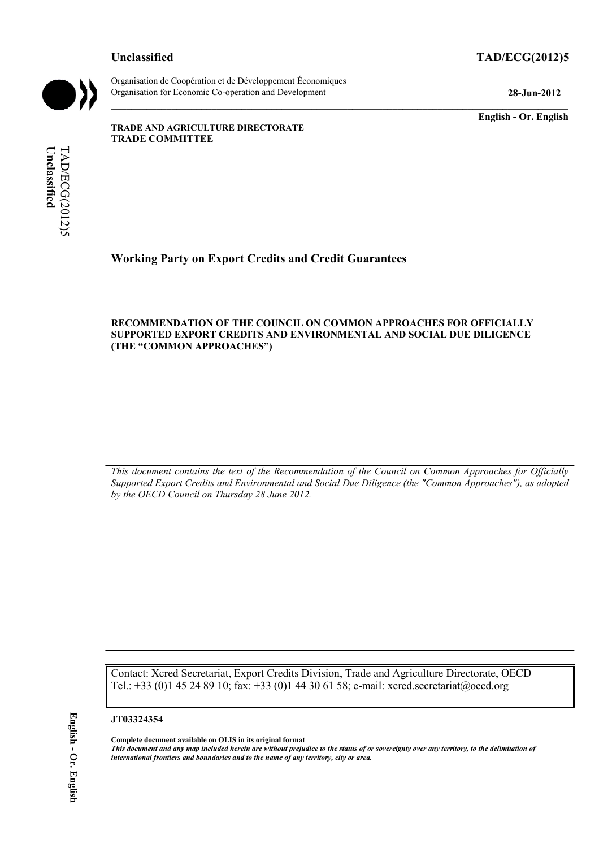## **Unclassified TAD/ECG(2012)5**

Organisation de Coopération et de Développement Économiques Organisation for Economic Co-operation and Development **28-Jun-2012** 

**English - Or. English** 

**TRADE AND AGRICULTURE DIRECTORATE TRADE COMMITTEE** 

Unclassified **Unclassified**  TAD/ECG(2012)5 TAD/ECG(2012)5

# **Working Party on Export Credits and Credit Guarantees**

#### **RECOMMENDATION OF THE COUNCIL ON COMMON APPROACHES FOR OFFICIALLY SUPPORTED EXPORT CREDITS AND ENVIRONMENTAL AND SOCIAL DUE DILIGENCE (THE "COMMON APPROACHES")**

*This document contains the text of the Recommendation of the Council on Common Approaches for Officially Supported Export Credits and Environmental and Social Due Diligence (the "Common Approaches"), as adopted by the OECD Council on Thursday 28 June 2012.* 

Contact: Xcred Secretariat, Export Credits Division, Trade and Agriculture Directorate, OECD Tel.: +33 (0)1 45 24 89 10; fax: +33 (0)1 44 30 61 58; e-mail: xcred.secretariat@oecd.org

#### **JT03324354**

**Complete document available on OLIS in its original format**

*This document and any map included herein are without prejudice to the status of or sovereignty over any territory, to the delimitation of international frontiers and boundaries and to the name of any territory, city or area.*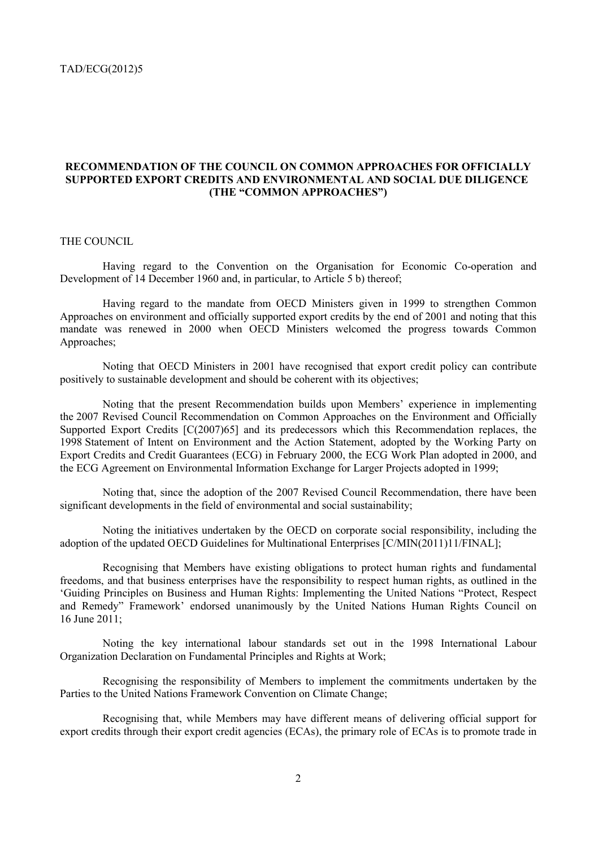#### **RECOMMENDATION OF THE COUNCIL ON COMMON APPROACHES FOR OFFICIALLY SUPPORTED EXPORT CREDITS AND ENVIRONMENTAL AND SOCIAL DUE DILIGENCE (THE "COMMON APPROACHES")**

### THE COUNCIL

 Having regard to the Convention on the Organisation for Economic Co-operation and Development of 14 December 1960 and, in particular, to Article 5 b) thereof;

 Having regard to the mandate from OECD Ministers given in 1999 to strengthen Common Approaches on environment and officially supported export credits by the end of 2001 and noting that this mandate was renewed in 2000 when OECD Ministers welcomed the progress towards Common Approaches;

 Noting that OECD Ministers in 2001 have recognised that export credit policy can contribute positively to sustainable development and should be coherent with its objectives;

 Noting that the present Recommendation builds upon Members' experience in implementing the 2007 Revised Council Recommendation on Common Approaches on the Environment and Officially Supported Export Credits [C(2007)65] and its predecessors which this Recommendation replaces, the 1998 Statement of Intent on Environment and the Action Statement, adopted by the Working Party on Export Credits and Credit Guarantees (ECG) in February 2000, the ECG Work Plan adopted in 2000, and the ECG Agreement on Environmental Information Exchange for Larger Projects adopted in 1999;

 Noting that, since the adoption of the 2007 Revised Council Recommendation, there have been significant developments in the field of environmental and social sustainability;

 Noting the initiatives undertaken by the OECD on corporate social responsibility, including the adoption of the updated OECD Guidelines for Multinational Enterprises [C/MIN(2011)11/FINAL];

 Recognising that Members have existing obligations to protect human rights and fundamental freedoms, and that business enterprises have the responsibility to respect human rights, as outlined in the 'Guiding Principles on Business and Human Rights: Implementing the United Nations "Protect, Respect and Remedy" Framework' endorsed unanimously by the United Nations Human Rights Council on 16 June 2011;

 Noting the key international labour standards set out in the 1998 International Labour Organization Declaration on Fundamental Principles and Rights at Work;

 Recognising the responsibility of Members to implement the commitments undertaken by the Parties to the United Nations Framework Convention on Climate Change;

 Recognising that, while Members may have different means of delivering official support for export credits through their export credit agencies (ECAs), the primary role of ECAs is to promote trade in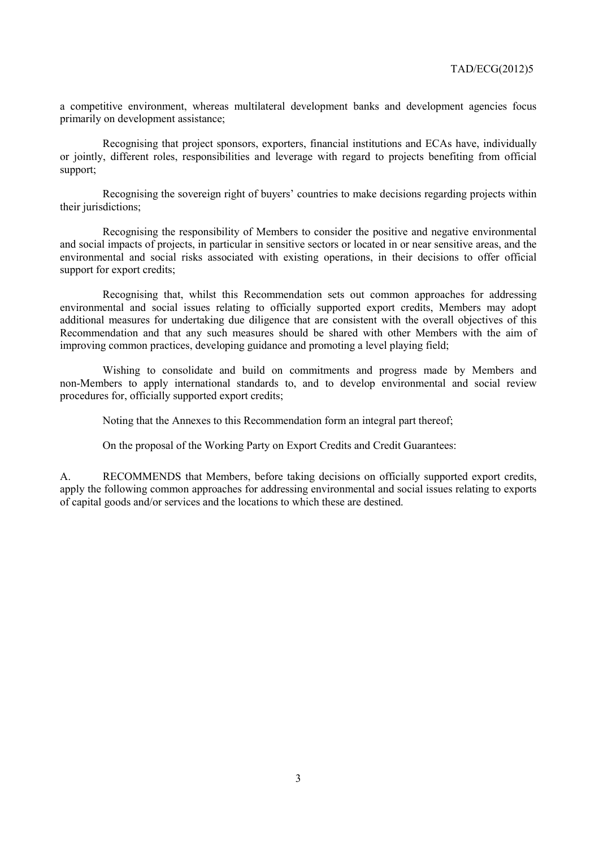a competitive environment, whereas multilateral development banks and development agencies focus primarily on development assistance;

 Recognising that project sponsors, exporters, financial institutions and ECAs have, individually or jointly, different roles, responsibilities and leverage with regard to projects benefiting from official support;

 Recognising the sovereign right of buyers' countries to make decisions regarding projects within their jurisdictions;

 Recognising the responsibility of Members to consider the positive and negative environmental and social impacts of projects, in particular in sensitive sectors or located in or near sensitive areas, and the environmental and social risks associated with existing operations, in their decisions to offer official support for export credits;

 Recognising that, whilst this Recommendation sets out common approaches for addressing environmental and social issues relating to officially supported export credits, Members may adopt additional measures for undertaking due diligence that are consistent with the overall objectives of this Recommendation and that any such measures should be shared with other Members with the aim of improving common practices, developing guidance and promoting a level playing field;

 Wishing to consolidate and build on commitments and progress made by Members and non-Members to apply international standards to, and to develop environmental and social review procedures for, officially supported export credits;

Noting that the Annexes to this Recommendation form an integral part thereof;

On the proposal of the Working Party on Export Credits and Credit Guarantees:

A. RECOMMENDS that Members, before taking decisions on officially supported export credits, apply the following common approaches for addressing environmental and social issues relating to exports of capital goods and/or services and the locations to which these are destined.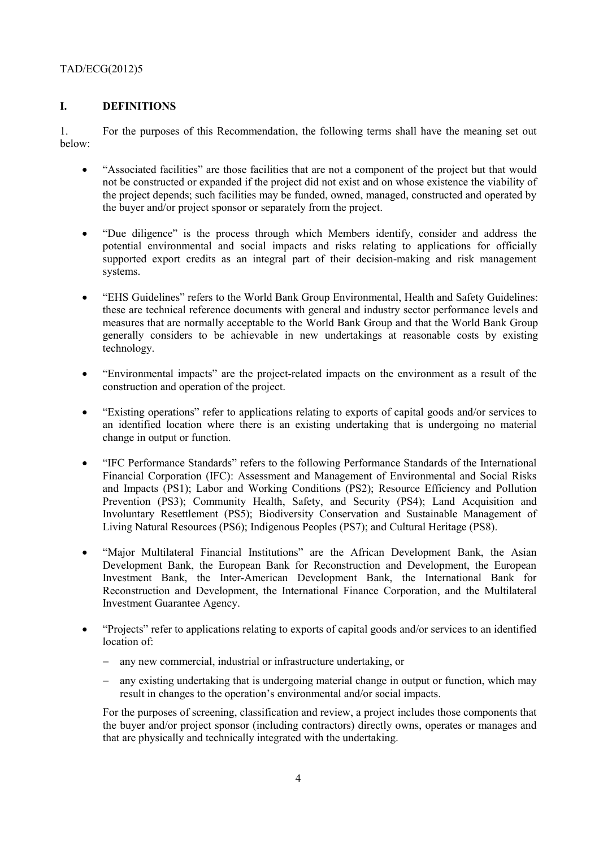## **I. DEFINITIONS**

1. For the purposes of this Recommendation, the following terms shall have the meaning set out below:

- "Associated facilities" are those facilities that are not a component of the project but that would not be constructed or expanded if the project did not exist and on whose existence the viability of the project depends; such facilities may be funded, owned, managed, constructed and operated by the buyer and/or project sponsor or separately from the project.
- "Due diligence" is the process through which Members identify, consider and address the potential environmental and social impacts and risks relating to applications for officially supported export credits as an integral part of their decision-making and risk management systems.
- "EHS Guidelines" refers to the World Bank Group Environmental, Health and Safety Guidelines: these are technical reference documents with general and industry sector performance levels and measures that are normally acceptable to the World Bank Group and that the World Bank Group generally considers to be achievable in new undertakings at reasonable costs by existing technology.
- "Environmental impacts" are the project-related impacts on the environment as a result of the construction and operation of the project.
- "Existing operations" refer to applications relating to exports of capital goods and/or services to an identified location where there is an existing undertaking that is undergoing no material change in output or function.
- "IFC Performance Standards" refers to the following Performance Standards of the International Financial Corporation (IFC): Assessment and Management of Environmental and Social Risks and Impacts (PS1); Labor and Working Conditions (PS2); Resource Efficiency and Pollution Prevention (PS3); Community Health, Safety, and Security (PS4); Land Acquisition and Involuntary Resettlement (PS5); Biodiversity Conservation and Sustainable Management of Living Natural Resources (PS6); Indigenous Peoples (PS7); and Cultural Heritage (PS8).
- "Major Multilateral Financial Institutions" are the African Development Bank, the Asian Development Bank, the European Bank for Reconstruction and Development, the European Investment Bank, the Inter-American Development Bank, the International Bank for Reconstruction and Development, the International Finance Corporation, and the Multilateral Investment Guarantee Agency.
- "Projects" refer to applications relating to exports of capital goods and/or services to an identified location of:
	- any new commercial, industrial or infrastructure undertaking, or
	- any existing undertaking that is undergoing material change in output or function, which may result in changes to the operation's environmental and/or social impacts.

For the purposes of screening, classification and review, a project includes those components that the buyer and/or project sponsor (including contractors) directly owns, operates or manages and that are physically and technically integrated with the undertaking.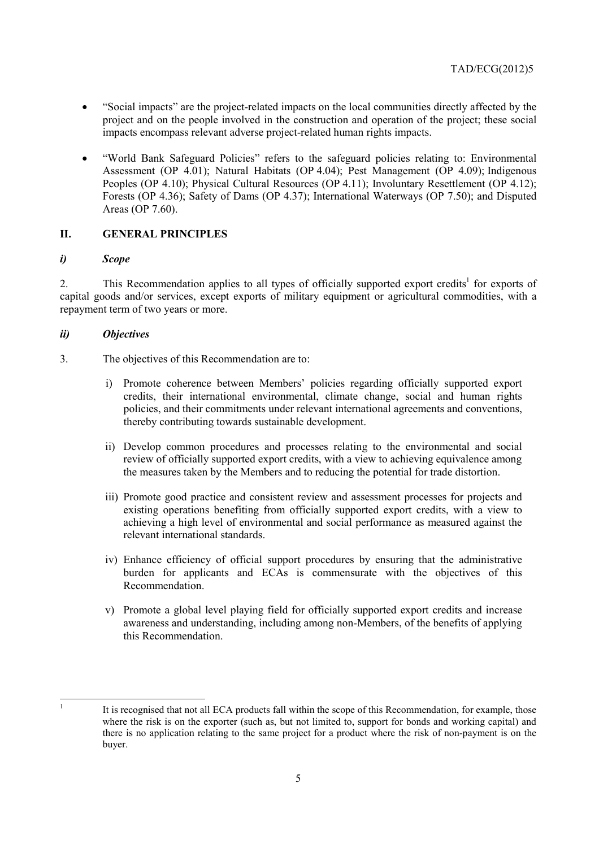- "Social impacts" are the project-related impacts on the local communities directly affected by the project and on the people involved in the construction and operation of the project; these social impacts encompass relevant adverse project-related human rights impacts.
- "World Bank Safeguard Policies" refers to the safeguard policies relating to: Environmental Assessment (OP 4.01); Natural Habitats (OP 4.04); Pest Management (OP 4.09); Indigenous Peoples (OP 4.10); Physical Cultural Resources (OP 4.11); Involuntary Resettlement (OP 4.12); Forests (OP 4.36); Safety of Dams (OP 4.37); International Waterways (OP 7.50); and Disputed Areas (OP 7.60).

## **II. GENERAL PRINCIPLES**

#### *i) Scope*

2. This Recommendation applies to all types of officially supported export credits<sup>1</sup> for exports of capital goods and/or services, except exports of military equipment or agricultural commodities, with a repayment term of two years or more.

## *ii) Objectives*

- 3. The objectives of this Recommendation are to:
	- i) Promote coherence between Members' policies regarding officially supported export credits, their international environmental, climate change, social and human rights policies, and their commitments under relevant international agreements and conventions, thereby contributing towards sustainable development.
	- ii) Develop common procedures and processes relating to the environmental and social review of officially supported export credits, with a view to achieving equivalence among the measures taken by the Members and to reducing the potential for trade distortion.
	- iii) Promote good practice and consistent review and assessment processes for projects and existing operations benefiting from officially supported export credits, with a view to achieving a high level of environmental and social performance as measured against the relevant international standards.
	- iv) Enhance efficiency of official support procedures by ensuring that the administrative burden for applicants and ECAs is commensurate with the objectives of this Recommendation.
	- v) Promote a global level playing field for officially supported export credits and increase awareness and understanding, including among non-Members, of the benefits of applying this Recommendation.

|<br>|<br>|

It is recognised that not all ECA products fall within the scope of this Recommendation, for example, those where the risk is on the exporter (such as, but not limited to, support for bonds and working capital) and there is no application relating to the same project for a product where the risk of non-payment is on the buyer.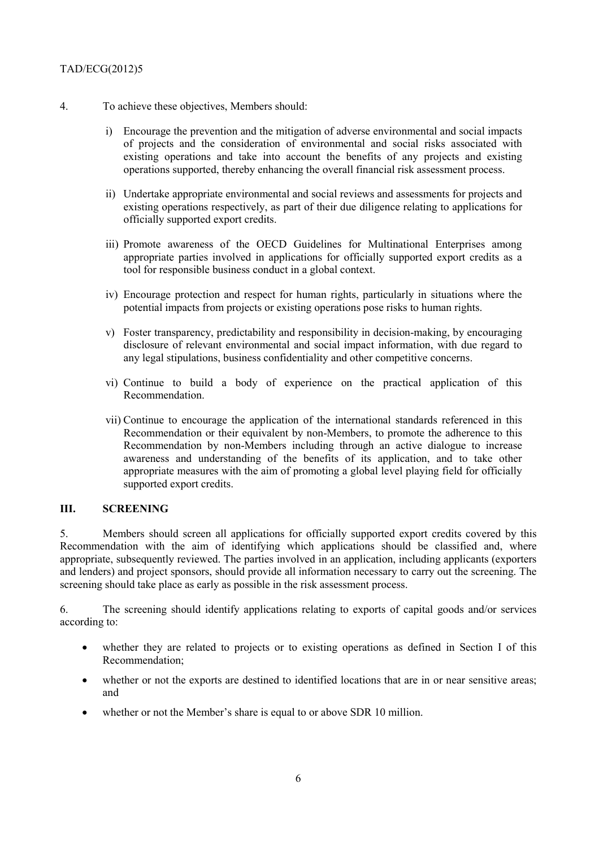- 4. To achieve these objectives, Members should:
	- i) Encourage the prevention and the mitigation of adverse environmental and social impacts of projects and the consideration of environmental and social risks associated with existing operations and take into account the benefits of any projects and existing operations supported, thereby enhancing the overall financial risk assessment process.
	- ii) Undertake appropriate environmental and social reviews and assessments for projects and existing operations respectively, as part of their due diligence relating to applications for officially supported export credits.
	- iii) Promote awareness of the OECD Guidelines for Multinational Enterprises among appropriate parties involved in applications for officially supported export credits as a tool for responsible business conduct in a global context.
	- iv) Encourage protection and respect for human rights, particularly in situations where the potential impacts from projects or existing operations pose risks to human rights.
	- v) Foster transparency, predictability and responsibility in decision-making, by encouraging disclosure of relevant environmental and social impact information, with due regard to any legal stipulations, business confidentiality and other competitive concerns.
	- vi) Continue to build a body of experience on the practical application of this Recommendation.
	- vii) Continue to encourage the application of the international standards referenced in this Recommendation or their equivalent by non-Members, to promote the adherence to this Recommendation by non-Members including through an active dialogue to increase awareness and understanding of the benefits of its application, and to take other appropriate measures with the aim of promoting a global level playing field for officially supported export credits.

#### **III. SCREENING**

5. Members should screen all applications for officially supported export credits covered by this Recommendation with the aim of identifying which applications should be classified and, where appropriate, subsequently reviewed. The parties involved in an application, including applicants (exporters and lenders) and project sponsors, should provide all information necessary to carry out the screening. The screening should take place as early as possible in the risk assessment process.

6. The screening should identify applications relating to exports of capital goods and/or services according to:

- whether they are related to projects or to existing operations as defined in Section I of this Recommendation;
- whether or not the exports are destined to identified locations that are in or near sensitive areas; and
- whether or not the Member's share is equal to or above SDR 10 million.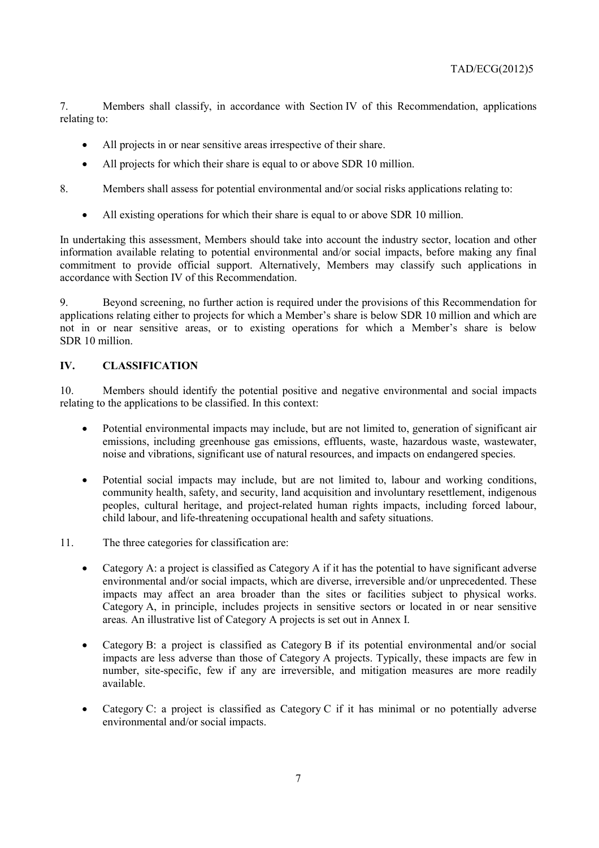7. Members shall classify, in accordance with Section IV of this Recommendation, applications relating to:

- All projects in or near sensitive areas irrespective of their share.
- All projects for which their share is equal to or above SDR 10 million.
- 8. Members shall assess for potential environmental and/or social risks applications relating to:
	- All existing operations for which their share is equal to or above SDR 10 million.

In undertaking this assessment, Members should take into account the industry sector, location and other information available relating to potential environmental and/or social impacts, before making any final commitment to provide official support. Alternatively, Members may classify such applications in accordance with Section IV of this Recommendation.

9. Beyond screening, no further action is required under the provisions of this Recommendation for applications relating either to projects for which a Member's share is below SDR 10 million and which are not in or near sensitive areas, or to existing operations for which a Member's share is below SDR 10 million.

## **IV. CLASSIFICATION**

10. Members should identify the potential positive and negative environmental and social impacts relating to the applications to be classified. In this context:

- Potential environmental impacts may include, but are not limited to, generation of significant air emissions, including greenhouse gas emissions, effluents, waste, hazardous waste, wastewater, noise and vibrations, significant use of natural resources, and impacts on endangered species.
- Potential social impacts may include, but are not limited to, labour and working conditions, community health, safety, and security, land acquisition and involuntary resettlement, indigenous peoples, cultural heritage, and project-related human rights impacts, including forced labour, child labour, and life-threatening occupational health and safety situations.
- 11. The three categories for classification are:
	- Category A: a project is classified as Category A if it has the potential to have significant adverse environmental and/or social impacts, which are diverse, irreversible and/or unprecedented. These impacts may affect an area broader than the sites or facilities subject to physical works. Category A, in principle, includes projects in sensitive sectors or located in or near sensitive areas*.* An illustrative list of Category A projects is set out in Annex I.
	- Category B: a project is classified as Category B if its potential environmental and/or social impacts are less adverse than those of Category A projects. Typically, these impacts are few in number, site-specific, few if any are irreversible, and mitigation measures are more readily available.
	- Category C: a project is classified as Category C if it has minimal or no potentially adverse environmental and/or social impacts.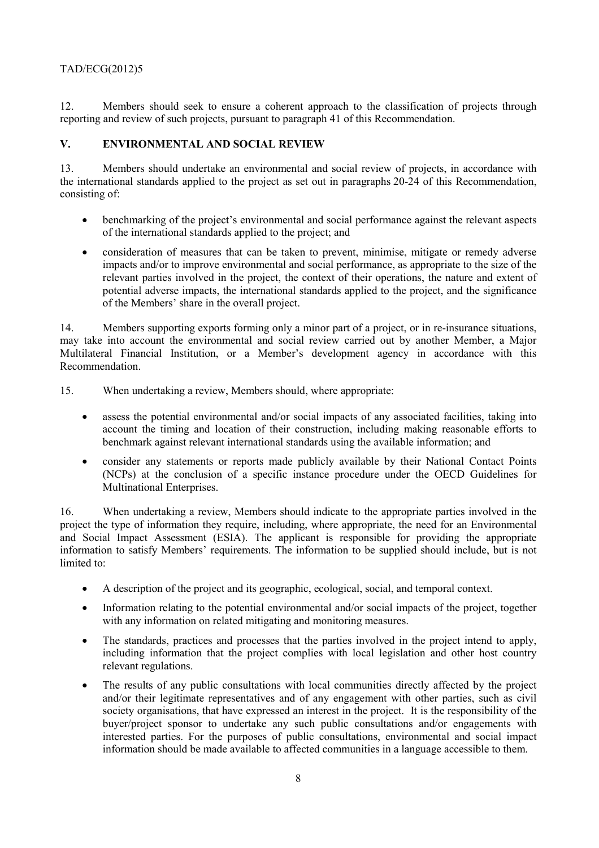12. Members should seek to ensure a coherent approach to the classification of projects through reporting and review of such projects, pursuant to paragraph 41 of this Recommendation.

## **V. ENVIRONMENTAL AND SOCIAL REVIEW**

13. Members should undertake an environmental and social review of projects, in accordance with the international standards applied to the project as set out in paragraphs 20-24 of this Recommendation, consisting of:

- benchmarking of the project's environmental and social performance against the relevant aspects of the international standards applied to the project; and
- consideration of measures that can be taken to prevent, minimise, mitigate or remedy adverse impacts and/or to improve environmental and social performance, as appropriate to the size of the relevant parties involved in the project, the context of their operations, the nature and extent of potential adverse impacts, the international standards applied to the project, and the significance of the Members' share in the overall project.

14. Members supporting exports forming only a minor part of a project, or in re-insurance situations, may take into account the environmental and social review carried out by another Member, a Major Multilateral Financial Institution, or a Member's development agency in accordance with this Recommendation.

15. When undertaking a review, Members should, where appropriate:

- assess the potential environmental and/or social impacts of any associated facilities, taking into account the timing and location of their construction, including making reasonable efforts to benchmark against relevant international standards using the available information; and
- consider any statements or reports made publicly available by their National Contact Points (NCPs) at the conclusion of a specific instance procedure under the OECD Guidelines for Multinational Enterprises.

16. When undertaking a review, Members should indicate to the appropriate parties involved in the project the type of information they require, including, where appropriate, the need for an Environmental and Social Impact Assessment (ESIA). The applicant is responsible for providing the appropriate information to satisfy Members' requirements. The information to be supplied should include, but is not limited to:

- A description of the project and its geographic, ecological, social, and temporal context.
- Information relating to the potential environmental and/or social impacts of the project, together with any information on related mitigating and monitoring measures.
- The standards, practices and processes that the parties involved in the project intend to apply, including information that the project complies with local legislation and other host country relevant regulations.
- The results of any public consultations with local communities directly affected by the project and/or their legitimate representatives and of any engagement with other parties, such as civil society organisations, that have expressed an interest in the project. It is the responsibility of the buyer/project sponsor to undertake any such public consultations and/or engagements with interested parties. For the purposes of public consultations, environmental and social impact information should be made available to affected communities in a language accessible to them.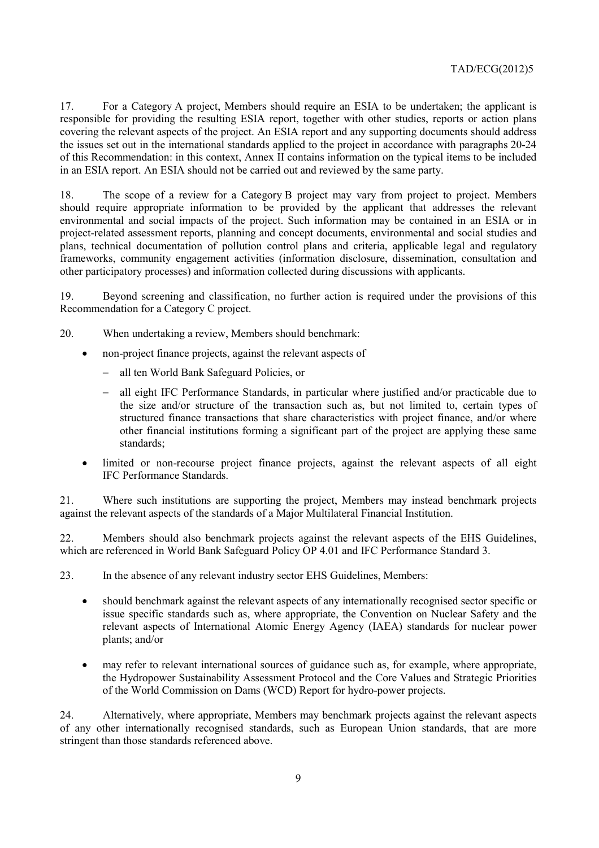17. For a Category A project, Members should require an ESIA to be undertaken; the applicant is responsible for providing the resulting ESIA report, together with other studies, reports or action plans covering the relevant aspects of the project. An ESIA report and any supporting documents should address the issues set out in the international standards applied to the project in accordance with paragraphs 20-24 of this Recommendation: in this context, Annex II contains information on the typical items to be included in an ESIA report. An ESIA should not be carried out and reviewed by the same party.

18. The scope of a review for a Category B project may vary from project to project. Members should require appropriate information to be provided by the applicant that addresses the relevant environmental and social impacts of the project. Such information may be contained in an ESIA or in project-related assessment reports, planning and concept documents, environmental and social studies and plans, technical documentation of pollution control plans and criteria, applicable legal and regulatory frameworks, community engagement activities (information disclosure, dissemination, consultation and other participatory processes) and information collected during discussions with applicants.

19. Beyond screening and classification, no further action is required under the provisions of this Recommendation for a Category C project.

20. When undertaking a review, Members should benchmark:

- non-project finance projects, against the relevant aspects of
	- − all ten World Bank Safeguard Policies, or
	- − all eight IFC Performance Standards, in particular where justified and/or practicable due to the size and/or structure of the transaction such as, but not limited to, certain types of structured finance transactions that share characteristics with project finance, and/or where other financial institutions forming a significant part of the project are applying these same standards;
- limited or non-recourse project finance projects, against the relevant aspects of all eight IFC Performance Standards.

21. Where such institutions are supporting the project, Members may instead benchmark projects against the relevant aspects of the standards of a Major Multilateral Financial Institution.

22. Members should also benchmark projects against the relevant aspects of the EHS Guidelines, which are referenced in World Bank Safeguard Policy OP 4.01 and IFC Performance Standard 3.

23. In the absence of any relevant industry sector EHS Guidelines, Members:

- should benchmark against the relevant aspects of any internationally recognised sector specific or issue specific standards such as, where appropriate, the Convention on Nuclear Safety and the relevant aspects of International Atomic Energy Agency (IAEA) standards for nuclear power plants; and/or
- may refer to relevant international sources of guidance such as, for example, where appropriate, the Hydropower Sustainability Assessment Protocol and the Core Values and Strategic Priorities of the World Commission on Dams (WCD) Report for hydro-power projects.

24. Alternatively, where appropriate, Members may benchmark projects against the relevant aspects of any other internationally recognised standards, such as European Union standards, that are more stringent than those standards referenced above.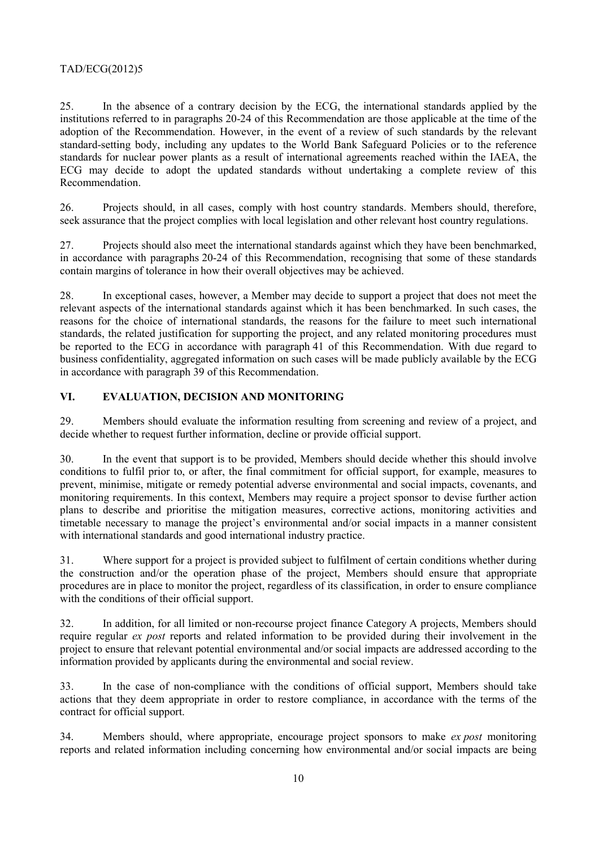25. In the absence of a contrary decision by the ECG, the international standards applied by the institutions referred to in paragraphs 20-24 of this Recommendation are those applicable at the time of the adoption of the Recommendation. However, in the event of a review of such standards by the relevant standard-setting body, including any updates to the World Bank Safeguard Policies or to the reference standards for nuclear power plants as a result of international agreements reached within the IAEA, the ECG may decide to adopt the updated standards without undertaking a complete review of this Recommendation.

26. Projects should, in all cases, comply with host country standards. Members should, therefore, seek assurance that the project complies with local legislation and other relevant host country regulations.

27. Projects should also meet the international standards against which they have been benchmarked, in accordance with paragraphs 20-24 of this Recommendation, recognising that some of these standards contain margins of tolerance in how their overall objectives may be achieved.

28. In exceptional cases, however, a Member may decide to support a project that does not meet the relevant aspects of the international standards against which it has been benchmarked. In such cases, the reasons for the choice of international standards, the reasons for the failure to meet such international standards, the related justification for supporting the project, and any related monitoring procedures must be reported to the ECG in accordance with paragraph 41 of this Recommendation. With due regard to business confidentiality, aggregated information on such cases will be made publicly available by the ECG in accordance with paragraph 39 of this Recommendation.

## **VI. EVALUATION, DECISION AND MONITORING**

29. Members should evaluate the information resulting from screening and review of a project, and decide whether to request further information, decline or provide official support.

30. In the event that support is to be provided, Members should decide whether this should involve conditions to fulfil prior to, or after, the final commitment for official support, for example, measures to prevent, minimise, mitigate or remedy potential adverse environmental and social impacts, covenants, and monitoring requirements. In this context, Members may require a project sponsor to devise further action plans to describe and prioritise the mitigation measures, corrective actions, monitoring activities and timetable necessary to manage the project's environmental and/or social impacts in a manner consistent with international standards and good international industry practice.

31. Where support for a project is provided subject to fulfilment of certain conditions whether during the construction and/or the operation phase of the project, Members should ensure that appropriate procedures are in place to monitor the project, regardless of its classification, in order to ensure compliance with the conditions of their official support.

32. In addition, for all limited or non-recourse project finance Category A projects, Members should require regular *ex post* reports and related information to be provided during their involvement in the project to ensure that relevant potential environmental and/or social impacts are addressed according to the information provided by applicants during the environmental and social review.

33. In the case of non-compliance with the conditions of official support, Members should take actions that they deem appropriate in order to restore compliance, in accordance with the terms of the contract for official support.

34. Members should, where appropriate, encourage project sponsors to make *ex post* monitoring reports and related information including concerning how environmental and/or social impacts are being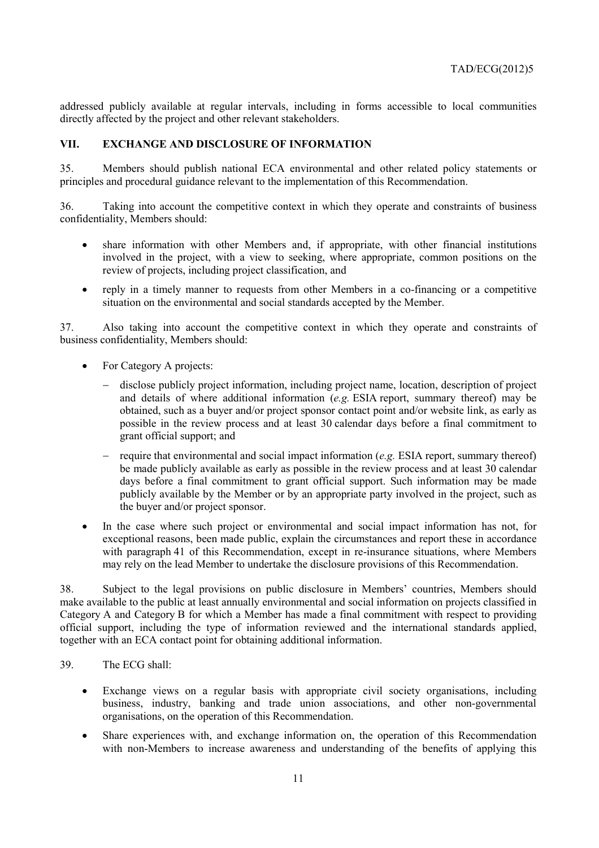addressed publicly available at regular intervals, including in forms accessible to local communities directly affected by the project and other relevant stakeholders.

#### **VII. EXCHANGE AND DISCLOSURE OF INFORMATION**

35. Members should publish national ECA environmental and other related policy statements or principles and procedural guidance relevant to the implementation of this Recommendation.

36. Taking into account the competitive context in which they operate and constraints of business confidentiality, Members should:

- share information with other Members and, if appropriate, with other financial institutions involved in the project, with a view to seeking, where appropriate, common positions on the review of projects, including project classification, and
- reply in a timely manner to requests from other Members in a co-financing or a competitive situation on the environmental and social standards accepted by the Member.

37. Also taking into account the competitive context in which they operate and constraints of business confidentiality, Members should:

- For Category A projects:
	- disclose publicly project information, including project name, location, description of project and details of where additional information (*e.g.* ESIA report, summary thereof) may be obtained, such as a buyer and/or project sponsor contact point and/or website link, as early as possible in the review process and at least 30 calendar days before a final commitment to grant official support; and
	- − require that environmental and social impact information (*e.g.* ESIA report, summary thereof) be made publicly available as early as possible in the review process and at least 30 calendar days before a final commitment to grant official support. Such information may be made publicly available by the Member or by an appropriate party involved in the project, such as the buyer and/or project sponsor.
- In the case where such project or environmental and social impact information has not, for exceptional reasons, been made public, explain the circumstances and report these in accordance with paragraph 41 of this Recommendation, except in re-insurance situations, where Members may rely on the lead Member to undertake the disclosure provisions of this Recommendation.

38. Subject to the legal provisions on public disclosure in Members' countries, Members should make available to the public at least annually environmental and social information on projects classified in Category A and Category B for which a Member has made a final commitment with respect to providing official support, including the type of information reviewed and the international standards applied, together with an ECA contact point for obtaining additional information.

- 39. The ECG shall:
	- Exchange views on a regular basis with appropriate civil society organisations, including business, industry, banking and trade union associations, and other non-governmental organisations, on the operation of this Recommendation.
	- Share experiences with, and exchange information on, the operation of this Recommendation with non-Members to increase awareness and understanding of the benefits of applying this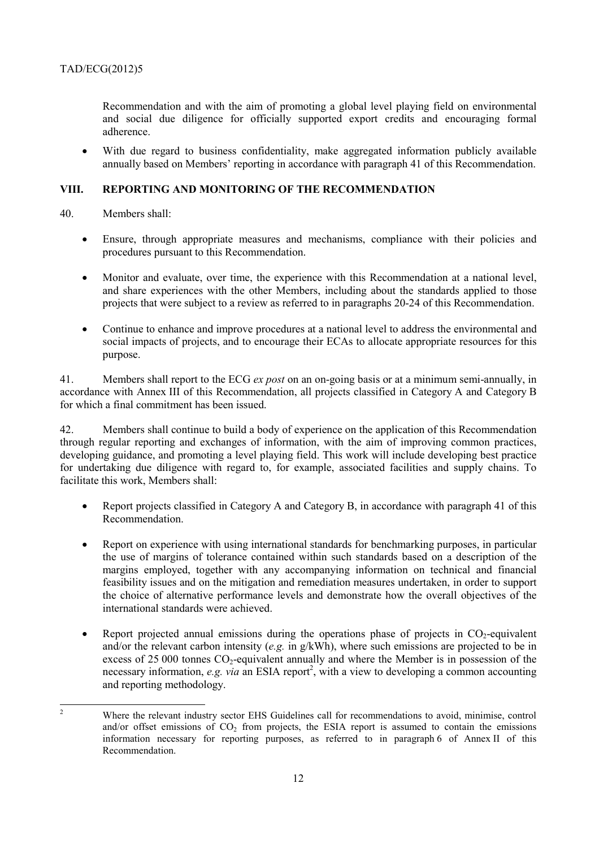Recommendation and with the aim of promoting a global level playing field on environmental and social due diligence for officially supported export credits and encouraging formal adherence.

• With due regard to business confidentiality, make aggregated information publicly available annually based on Members' reporting in accordance with paragraph 41 of this Recommendation.

## **VIII. REPORTING AND MONITORING OF THE RECOMMENDATION**

- 40. Members shall:
	- Ensure, through appropriate measures and mechanisms, compliance with their policies and procedures pursuant to this Recommendation.
	- Monitor and evaluate, over time, the experience with this Recommendation at a national level, and share experiences with the other Members, including about the standards applied to those projects that were subject to a review as referred to in paragraphs 20-24 of this Recommendation.
	- Continue to enhance and improve procedures at a national level to address the environmental and social impacts of projects, and to encourage their ECAs to allocate appropriate resources for this purpose.

41. Members shall report to the ECG *ex post* on an on-going basis or at a minimum semi-annually, in accordance with Annex III of this Recommendation, all projects classified in Category A and Category B for which a final commitment has been issued.

42. Members shall continue to build a body of experience on the application of this Recommendation through regular reporting and exchanges of information, with the aim of improving common practices, developing guidance, and promoting a level playing field. This work will include developing best practice for undertaking due diligence with regard to, for example, associated facilities and supply chains. To facilitate this work, Members shall:

- Report projects classified in Category A and Category B, in accordance with paragraph 41 of this Recommendation.
- Report on experience with using international standards for benchmarking purposes, in particular the use of margins of tolerance contained within such standards based on a description of the margins employed, together with any accompanying information on technical and financial feasibility issues and on the mitigation and remediation measures undertaken, in order to support the choice of alternative performance levels and demonstrate how the overall objectives of the international standards were achieved.
- Report projected annual emissions during the operations phase of projects in  $CO<sub>2</sub>$ -equivalent and/or the relevant carbon intensity (*e.g.* in g/kWh), where such emissions are projected to be in excess of  $25\,000$  tonnes  $CO<sub>2</sub>$ -equivalent annually and where the Member is in possession of the necessary information, *e.g. via* an ESIA report<sup>2</sup>, with a view to developing a common accounting and reporting methodology.

 $\frac{1}{2}$  Where the relevant industry sector EHS Guidelines call for recommendations to avoid, minimise, control and/or offset emissions of  $CO<sub>2</sub>$  from projects, the ESIA report is assumed to contain the emissions information necessary for reporting purposes, as referred to in paragraph 6 of Annex II of this Recommendation.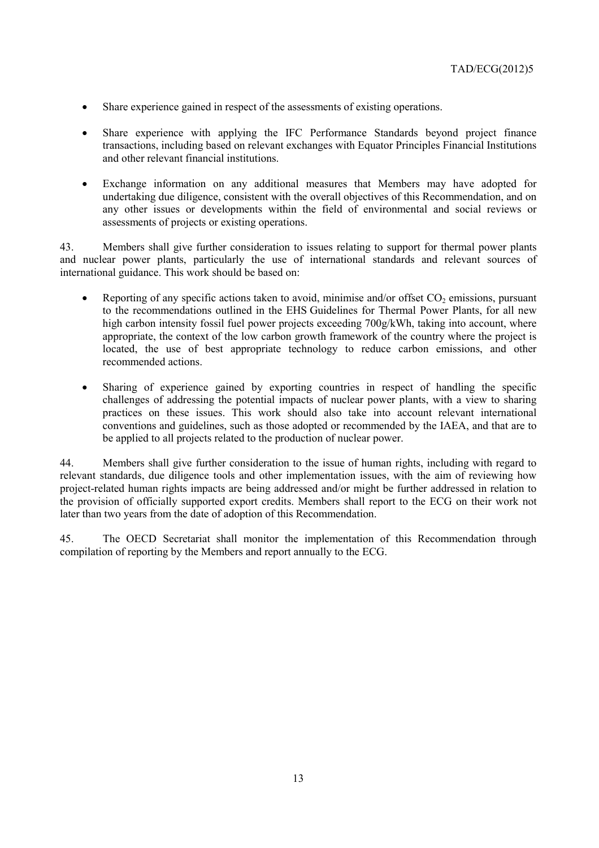- Share experience gained in respect of the assessments of existing operations.
- Share experience with applying the IFC Performance Standards beyond project finance transactions, including based on relevant exchanges with Equator Principles Financial Institutions and other relevant financial institutions.
- Exchange information on any additional measures that Members may have adopted for undertaking due diligence, consistent with the overall objectives of this Recommendation, and on any other issues or developments within the field of environmental and social reviews or assessments of projects or existing operations.

43. Members shall give further consideration to issues relating to support for thermal power plants and nuclear power plants, particularly the use of international standards and relevant sources of international guidance. This work should be based on:

- Reporting of any specific actions taken to avoid, minimise and/or offset  $CO<sub>2</sub>$  emissions, pursuant to the recommendations outlined in the EHS Guidelines for Thermal Power Plants, for all new high carbon intensity fossil fuel power projects exceeding 700g/kWh, taking into account, where appropriate, the context of the low carbon growth framework of the country where the project is located, the use of best appropriate technology to reduce carbon emissions, and other recommended actions.
- Sharing of experience gained by exporting countries in respect of handling the specific challenges of addressing the potential impacts of nuclear power plants, with a view to sharing practices on these issues. This work should also take into account relevant international conventions and guidelines, such as those adopted or recommended by the IAEA, and that are to be applied to all projects related to the production of nuclear power.

44. Members shall give further consideration to the issue of human rights, including with regard to relevant standards, due diligence tools and other implementation issues, with the aim of reviewing how project-related human rights impacts are being addressed and/or might be further addressed in relation to the provision of officially supported export credits. Members shall report to the ECG on their work not later than two years from the date of adoption of this Recommendation.

45. The OECD Secretariat shall monitor the implementation of this Recommendation through compilation of reporting by the Members and report annually to the ECG.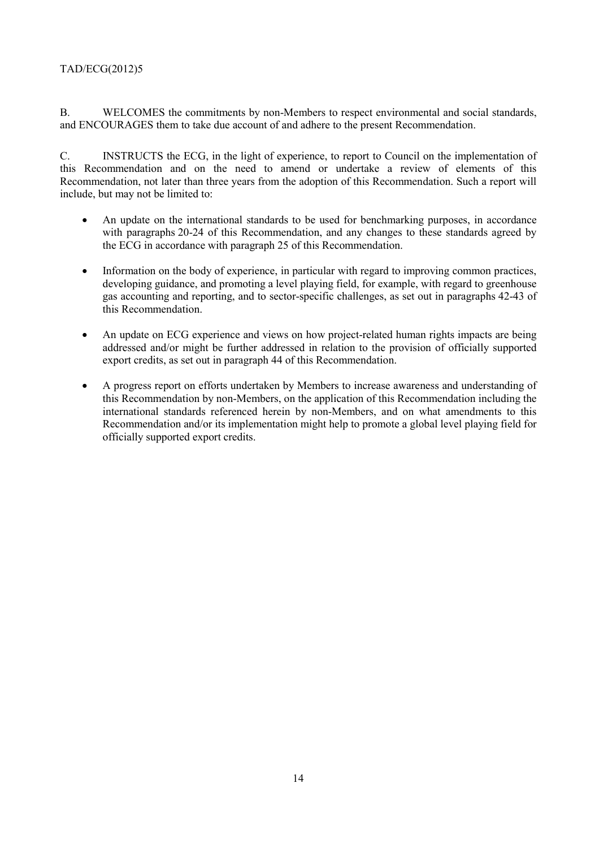B. WELCOMES the commitments by non-Members to respect environmental and social standards, and ENCOURAGES them to take due account of and adhere to the present Recommendation.

C. INSTRUCTS the ECG, in the light of experience, to report to Council on the implementation of this Recommendation and on the need to amend or undertake a review of elements of this Recommendation, not later than three years from the adoption of this Recommendation. Such a report will include, but may not be limited to:

- An update on the international standards to be used for benchmarking purposes, in accordance with paragraphs 20-24 of this Recommendation, and any changes to these standards agreed by the ECG in accordance with paragraph 25 of this Recommendation.
- Information on the body of experience, in particular with regard to improving common practices, developing guidance, and promoting a level playing field, for example, with regard to greenhouse gas accounting and reporting, and to sector-specific challenges, as set out in paragraphs 42-43 of this Recommendation.
- An update on ECG experience and views on how project-related human rights impacts are being addressed and/or might be further addressed in relation to the provision of officially supported export credits, as set out in paragraph 44 of this Recommendation.
- A progress report on efforts undertaken by Members to increase awareness and understanding of this Recommendation by non-Members, on the application of this Recommendation including the international standards referenced herein by non-Members, and on what amendments to this Recommendation and/or its implementation might help to promote a global level playing field for officially supported export credits.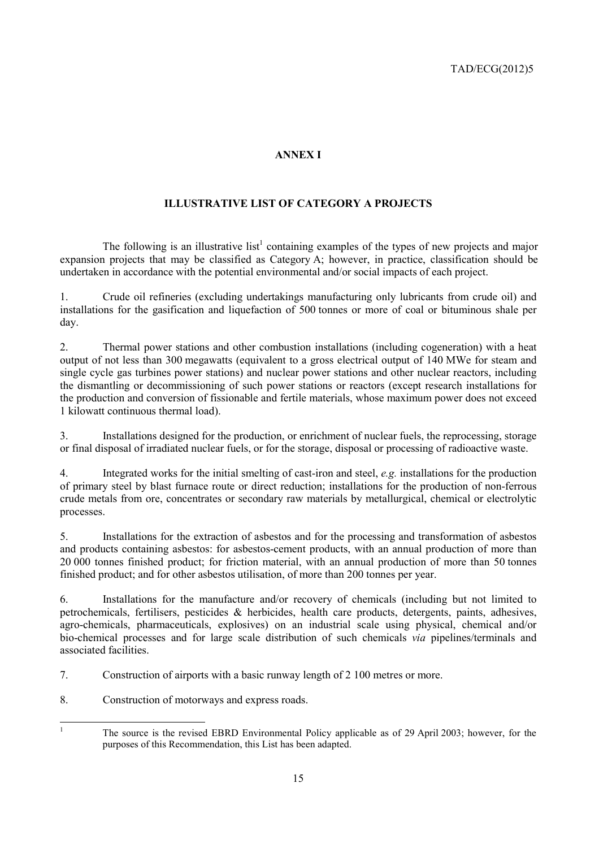# **ANNEX I**

# **ILLUSTRATIVE LIST OF CATEGORY A PROJECTS**

The following is an illustrative list<sup>1</sup> containing examples of the types of new projects and major expansion projects that may be classified as Category A; however, in practice, classification should be undertaken in accordance with the potential environmental and/or social impacts of each project.

1. Crude oil refineries (excluding undertakings manufacturing only lubricants from crude oil) and installations for the gasification and liquefaction of 500 tonnes or more of coal or bituminous shale per day.

2. Thermal power stations and other combustion installations (including cogeneration) with a heat output of not less than 300 megawatts (equivalent to a gross electrical output of 140 MWe for steam and single cycle gas turbines power stations) and nuclear power stations and other nuclear reactors, including the dismantling or decommissioning of such power stations or reactors (except research installations for the production and conversion of fissionable and fertile materials, whose maximum power does not exceed 1 kilowatt continuous thermal load).

3. Installations designed for the production, or enrichment of nuclear fuels, the reprocessing, storage or final disposal of irradiated nuclear fuels, or for the storage, disposal or processing of radioactive waste.

4. Integrated works for the initial smelting of cast-iron and steel, *e.g.* installations for the production of primary steel by blast furnace route or direct reduction; installations for the production of non-ferrous crude metals from ore, concentrates or secondary raw materials by metallurgical, chemical or electrolytic processes.

5. Installations for the extraction of asbestos and for the processing and transformation of asbestos and products containing asbestos: for asbestos-cement products, with an annual production of more than 20 000 tonnes finished product; for friction material, with an annual production of more than 50 tonnes finished product; and for other asbestos utilisation, of more than 200 tonnes per year.

6. Installations for the manufacture and/or recovery of chemicals (including but not limited to petrochemicals, fertilisers, pesticides & herbicides, health care products, detergents, paints, adhesives, agro-chemicals, pharmaceuticals, explosives) on an industrial scale using physical, chemical and/or bio-chemical processes and for large scale distribution of such chemicals *via* pipelines/terminals and associated facilities.

7. Construction of airports with a basic runway length of 2 100 metres or more.

8. Construction of motorways and express roads.

|<br>|<br>| The source is the revised EBRD Environmental Policy applicable as of 29 April 2003; however, for the purposes of this Recommendation, this List has been adapted.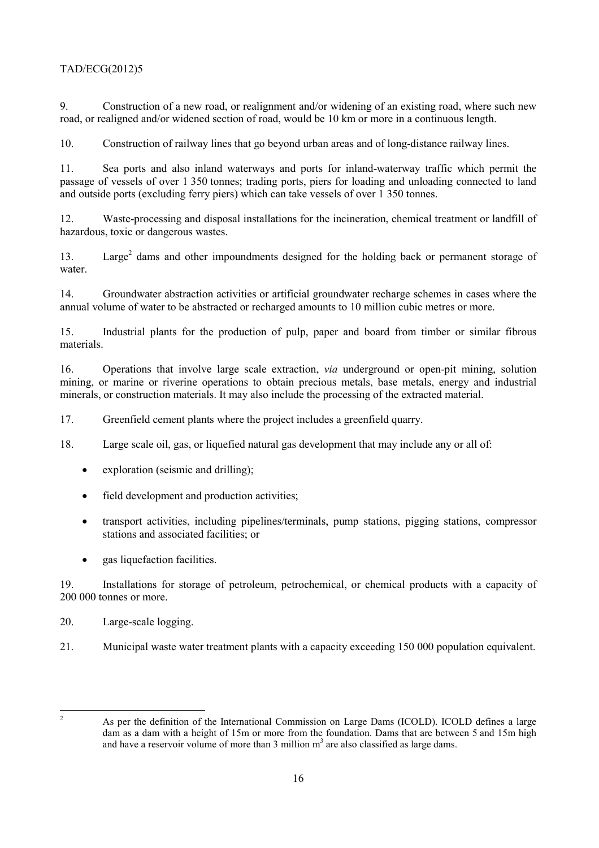9. Construction of a new road, or realignment and/or widening of an existing road, where such new road, or realigned and/or widened section of road, would be 10 km or more in a continuous length.

10. Construction of railway lines that go beyond urban areas and of long-distance railway lines.

11. Sea ports and also inland waterways and ports for inland-waterway traffic which permit the passage of vessels of over 1 350 tonnes; trading ports, piers for loading and unloading connected to land and outside ports (excluding ferry piers) which can take vessels of over 1 350 tonnes.

12. Waste-processing and disposal installations for the incineration, chemical treatment or landfill of hazardous, toxic or dangerous wastes.

13. Large<sup>2</sup> dams and other impoundments designed for the holding back or permanent storage of water.

14. Groundwater abstraction activities or artificial groundwater recharge schemes in cases where the annual volume of water to be abstracted or recharged amounts to 10 million cubic metres or more.

15. Industrial plants for the production of pulp, paper and board from timber or similar fibrous materials.

16. Operations that involve large scale extraction, *via* underground or open-pit mining, solution mining, or marine or riverine operations to obtain precious metals, base metals, energy and industrial minerals, or construction materials. It may also include the processing of the extracted material.

17. Greenfield cement plants where the project includes a greenfield quarry.

18. Large scale oil, gas, or liquefied natural gas development that may include any or all of:

- exploration (seismic and drilling);
- field development and production activities;
- transport activities, including pipelines/terminals, pump stations, pigging stations, compressor stations and associated facilities; or
- gas liquefaction facilities.

19. Installations for storage of petroleum, petrochemical, or chemical products with a capacity of 200 000 tonnes or more.

- 20. Large-scale logging.
- 21. Municipal waste water treatment plants with a capacity exceeding 150 000 population equivalent.

 $\frac{1}{2}$ 

As per the definition of the International Commission on Large Dams (ICOLD). ICOLD defines a large dam as a dam with a height of 15m or more from the foundation. Dams that are between 5 and 15m high and have a reservoir volume of more than  $3$  million  $m<sup>3</sup>$  are also classified as large dams.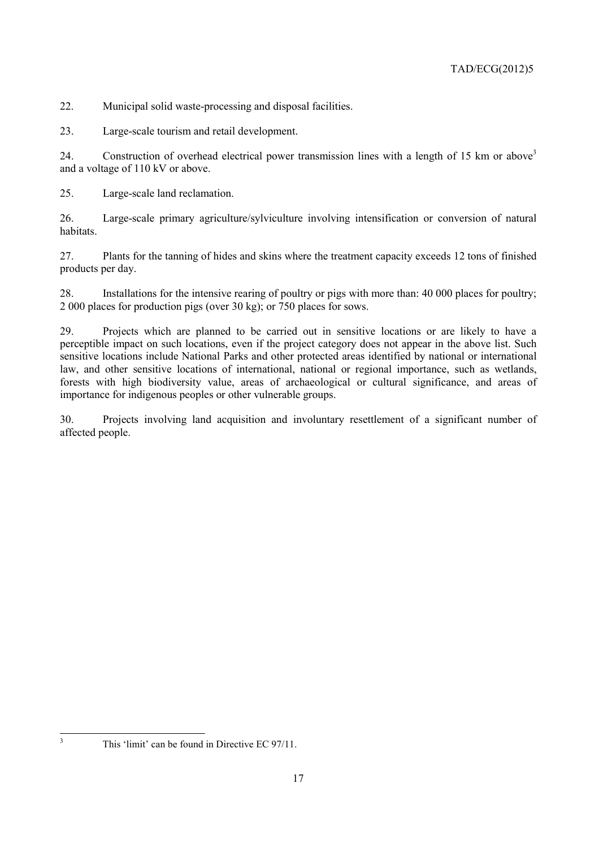22. Municipal solid waste-processing and disposal facilities.

23. Large-scale tourism and retail development.

24. Construction of overhead electrical power transmission lines with a length of 15 km or above<sup>3</sup> and a voltage of 110 kV or above.

25. Large-scale land reclamation.

26. Large-scale primary agriculture/sylviculture involving intensification or conversion of natural habitats.

27. Plants for the tanning of hides and skins where the treatment capacity exceeds 12 tons of finished products per day.

28. Installations for the intensive rearing of poultry or pigs with more than: 40 000 places for poultry; 2 000 places for production pigs (over 30 kg); or 750 places for sows.

29. Projects which are planned to be carried out in sensitive locations or are likely to have a perceptible impact on such locations, even if the project category does not appear in the above list. Such sensitive locations include National Parks and other protected areas identified by national or international law, and other sensitive locations of international, national or regional importance, such as wetlands, forests with high biodiversity value, areas of archaeological or cultural significance, and areas of importance for indigenous peoples or other vulnerable groups.

30. Projects involving land acquisition and involuntary resettlement of a significant number of affected people.

3

This 'limit' can be found in Directive EC 97/11.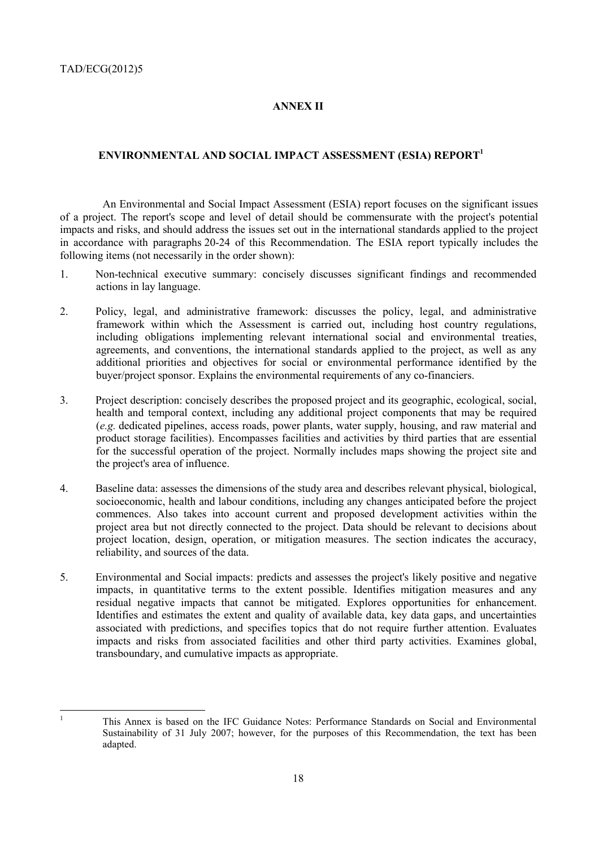### **ANNEX II**

#### **ENVIRONMENTAL AND SOCIAL IMPACT ASSESSMENT (ESIA) REPORT1**

 An Environmental and Social Impact Assessment (ESIA) report focuses on the significant issues of a project. The report's scope and level of detail should be commensurate with the project's potential impacts and risks, and should address the issues set out in the international standards applied to the project in accordance with paragraphs 20-24 of this Recommendation. The ESIA report typically includes the following items (not necessarily in the order shown):

- 1. Non-technical executive summary: concisely discusses significant findings and recommended actions in lay language.
- 2. Policy, legal, and administrative framework: discusses the policy, legal, and administrative framework within which the Assessment is carried out, including host country regulations, including obligations implementing relevant international social and environmental treaties, agreements, and conventions, the international standards applied to the project, as well as any additional priorities and objectives for social or environmental performance identified by the buyer/project sponsor. Explains the environmental requirements of any co-financiers.
- 3. Project description: concisely describes the proposed project and its geographic, ecological, social, health and temporal context, including any additional project components that may be required (*e.g.* dedicated pipelines, access roads, power plants, water supply, housing, and raw material and product storage facilities). Encompasses facilities and activities by third parties that are essential for the successful operation of the project. Normally includes maps showing the project site and the project's area of influence.
- 4. Baseline data: assesses the dimensions of the study area and describes relevant physical, biological, socioeconomic, health and labour conditions, including any changes anticipated before the project commences. Also takes into account current and proposed development activities within the project area but not directly connected to the project. Data should be relevant to decisions about project location, design, operation, or mitigation measures. The section indicates the accuracy, reliability, and sources of the data.
- 5. Environmental and Social impacts: predicts and assesses the project's likely positive and negative impacts, in quantitative terms to the extent possible. Identifies mitigation measures and any residual negative impacts that cannot be mitigated. Explores opportunities for enhancement. Identifies and estimates the extent and quality of available data, key data gaps, and uncertainties associated with predictions, and specifies topics that do not require further attention. Evaluates impacts and risks from associated facilities and other third party activities. Examines global, transboundary, and cumulative impacts as appropriate.

 $\frac{1}{1}$ 

This Annex is based on the IFC Guidance Notes: Performance Standards on Social and Environmental Sustainability of 31 July 2007; however, for the purposes of this Recommendation, the text has been adapted.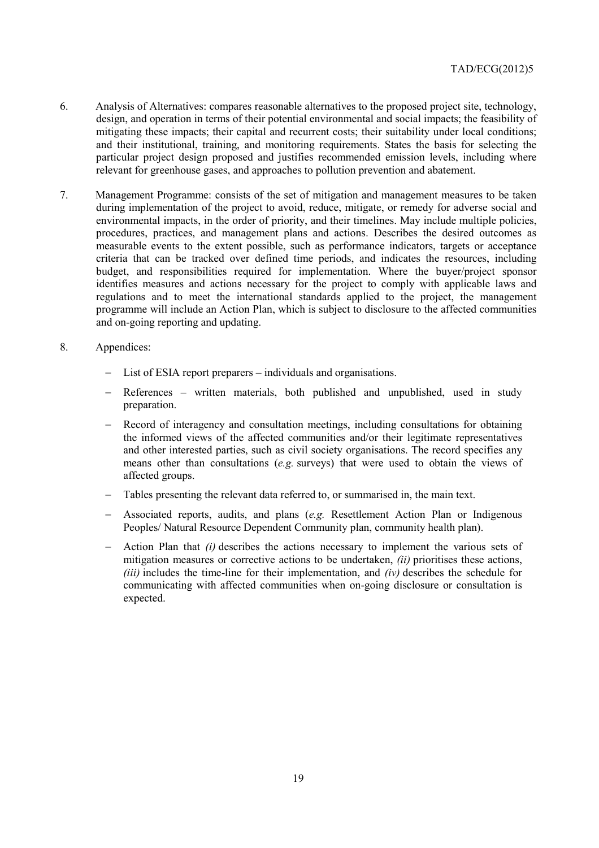- 6. Analysis of Alternatives: compares reasonable alternatives to the proposed project site, technology, design, and operation in terms of their potential environmental and social impacts; the feasibility of mitigating these impacts; their capital and recurrent costs; their suitability under local conditions; and their institutional, training, and monitoring requirements. States the basis for selecting the particular project design proposed and justifies recommended emission levels, including where relevant for greenhouse gases, and approaches to pollution prevention and abatement.
- 7. Management Programme: consists of the set of mitigation and management measures to be taken during implementation of the project to avoid, reduce, mitigate, or remedy for adverse social and environmental impacts, in the order of priority, and their timelines. May include multiple policies, procedures, practices, and management plans and actions. Describes the desired outcomes as measurable events to the extent possible, such as performance indicators, targets or acceptance criteria that can be tracked over defined time periods, and indicates the resources, including budget, and responsibilities required for implementation. Where the buyer/project sponsor identifies measures and actions necessary for the project to comply with applicable laws and regulations and to meet the international standards applied to the project, the management programme will include an Action Plan, which is subject to disclosure to the affected communities and on-going reporting and updating.
- 8. Appendices:
	- List of ESIA report preparers individuals and organisations.
	- − References written materials, both published and unpublished, used in study preparation.
	- − Record of interagency and consultation meetings, including consultations for obtaining the informed views of the affected communities and/or their legitimate representatives and other interested parties, such as civil society organisations. The record specifies any means other than consultations (*e.g.* surveys) that were used to obtain the views of affected groups.
	- Tables presenting the relevant data referred to, or summarised in, the main text.
	- − Associated reports, audits, and plans (*e.g.* Resettlement Action Plan or Indigenous Peoples/ Natural Resource Dependent Community plan, community health plan).
	- − Action Plan that *(i)* describes the actions necessary to implement the various sets of mitigation measures or corrective actions to be undertaken, *(ii)* prioritises these actions, *(iii)* includes the time-line for their implementation, and *(iv)* describes the schedule for communicating with affected communities when on-going disclosure or consultation is expected.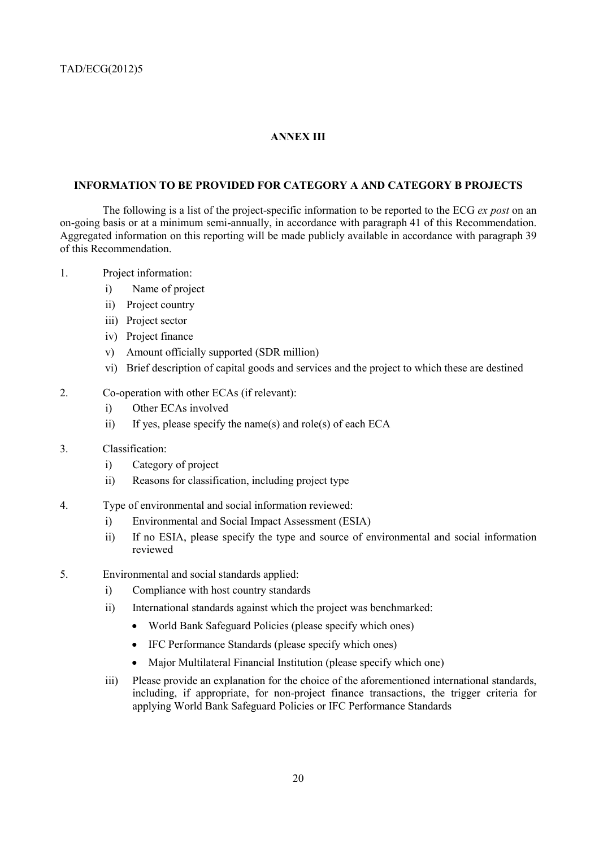## **ANNEX III**

### **INFORMATION TO BE PROVIDED FOR CATEGORY A AND CATEGORY B PROJECTS**

 The following is a list of the project-specific information to be reported to the ECG *ex post* on an on-going basis or at a minimum semi-annually, in accordance with paragraph 41 of this Recommendation. Aggregated information on this reporting will be made publicly available in accordance with paragraph 39 of this Recommendation.

#### 1. Project information:

- i) Name of project
- ii) Project country
- iii) Project sector
- iv) Project finance
- v) Amount officially supported (SDR million)
- vi) Brief description of capital goods and services and the project to which these are destined

#### 2. Co-operation with other ECAs (if relevant):

- i) Other ECAs involved
- ii) If yes, please specify the name(s) and role(s) of each ECA
- 3. Classification:
	- i) Category of project
	- ii) Reasons for classification, including project type
- 4. Type of environmental and social information reviewed:
	- i) Environmental and Social Impact Assessment (ESIA)
	- ii) If no ESIA, please specify the type and source of environmental and social information reviewed
- 5. Environmental and social standards applied:
	- i) Compliance with host country standards
	- ii) International standards against which the project was benchmarked:
		- World Bank Safeguard Policies (please specify which ones)
		- IFC Performance Standards (please specify which ones)
		- Major Multilateral Financial Institution (please specify which one)
	- iii) Please provide an explanation for the choice of the aforementioned international standards, including, if appropriate, for non-project finance transactions, the trigger criteria for applying World Bank Safeguard Policies or IFC Performance Standards